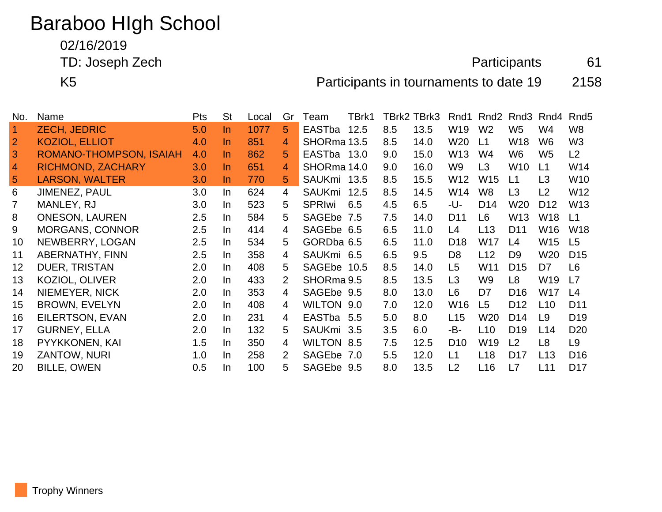## Baraboo HIgh School

02/16/2019

TD: Joseph Zech **Participants** 61

K5 Participants in tournaments to date 19 2158

| No.            | Name                     | <b>Pts</b> | <b>St</b> | Local | Gr             | Team          | TBrk1 |     | TBrk2 TBrk3 | Rnd1            | Rnd <sub>2</sub> | Rnd3            | Rnd4            | Rnd <sub>5</sub> |
|----------------|--------------------------|------------|-----------|-------|----------------|---------------|-------|-----|-------------|-----------------|------------------|-----------------|-----------------|------------------|
| $\overline{1}$ | <b>ZECH, JEDRIC</b>      | 5.0        | In.       | 1077  | 5              | EASTba        | 12.5  | 8.5 | 13.5        | W19             | W <sub>2</sub>   | W <sub>5</sub>  | W4              | W8               |
| $\overline{2}$ | <b>KOZIOL, ELLIOT</b>    | 4.0        | $\ln$     | 851   | 4              | SHORma 13.5   |       | 8.5 | 14.0        | W20             | L1               | W <sub>18</sub> | W <sub>6</sub>  | W <sub>3</sub>   |
| 3              | ROMANO-THOMPSON, ISAIAH  | 4.0        | $\ln$     | 862   | 5              | EASTba 13.0   |       | 9.0 | 15.0        | W <sub>13</sub> | W4               | W <sub>6</sub>  | W <sub>5</sub>  | L2               |
| $\overline{4}$ | <b>RICHMOND, ZACHARY</b> | 3.0        | In.       | 651   | 4              | SHORma 14.0   |       | 9.0 | 16.0        | W <sub>9</sub>  | L3               | W <sub>10</sub> | L1              | W14              |
| 5              | <b>LARSON, WALTER</b>    | 3.0        | $\ln$     | 770   | 5              | SAUKmi 13.5   |       | 8.5 | 15.5        | W12             | W <sub>15</sub>  | L1              | L3              | W <sub>10</sub>  |
| 6              | <b>JIMENEZ, PAUL</b>     | 3.0        | In        | 624   | $\overline{4}$ | SAUKmi 12.5   |       | 8.5 | 14.5        | W14             | W <sub>8</sub>   | L <sub>3</sub>  | L2              | W12              |
| 7              | MANLEY, RJ               | 3.0        | In        | 523   | 5.             | <b>SPRIwi</b> | 6.5   | 4.5 | 6.5         | -U-             | D <sub>14</sub>  | W <sub>20</sub> | D <sub>12</sub> | W <sub>13</sub>  |
| 8              | <b>ONESON, LAUREN</b>    | 2.5        | In.       | 584   | 5              | SAGEbe 7.5    |       | 7.5 | 14.0        | D <sub>11</sub> | L6               | W <sub>13</sub> | W18             | L1               |
| 9              | <b>MORGANS, CONNOR</b>   | 2.5        | In        | 414   | 4              | SAGEbe 6.5    |       | 6.5 | 11.0        | L4              | L13              | D <sub>11</sub> | W16             | W <sub>18</sub>  |
| 10             | NEWBERRY, LOGAN          | 2.5        | In.       | 534   | 5.             | GORDba 6.5    |       | 6.5 | 11.0        | D <sub>18</sub> | W17              | L4              | W15             | L <sub>5</sub>   |
| 11             | <b>ABERNATHY, FINN</b>   | 2.5        | <b>In</b> | 358   | 4              | SAUKmi 6.5    |       | 6.5 | 9.5         | D <sub>8</sub>  | L12              | D <sub>9</sub>  | W <sub>20</sub> | D <sub>15</sub>  |
| 12             | <b>DUER, TRISTAN</b>     | 2.0        | In.       | 408   | 5              | SAGEbe 10.5   |       | 8.5 | 14.0        | L <sub>5</sub>  | W11              | D <sub>15</sub> | D7              | L <sub>6</sub>   |
| 13             | KOZIOL, OLIVER           | 2.0        | In.       | 433   | $\overline{2}$ | SHORma 9.5    |       | 8.5 | 13.5        | L3              | W <sub>9</sub>   | L8              | W <sub>19</sub> | L7               |
| 14             | NIEMEYER, NICK           | 2.0        | In        | 353   | 4              | SAGEbe 9.5    |       | 8.0 | 13.0        | L <sub>6</sub>  | D7               | D <sub>16</sub> | W17             | L4               |
| 15             | <b>BROWN, EVELYN</b>     | 2.0        | In        | 408   | 4              | WILTON 9.0    |       | 7.0 | 12.0        | W <sub>16</sub> | L <sub>5</sub>   | D <sub>12</sub> | L10             | D <sub>11</sub>  |
| 16             | EILERTSON, EVAN          | 2.0        | <b>In</b> | 231   | 4              | EASTba 5.5    |       | 5.0 | 8.0         | L15             | W20              | D <sub>14</sub> | L9              | D <sub>19</sub>  |
| 17             | <b>GURNEY, ELLA</b>      | 2.0        | In.       | 132   | 5.             | SAUKmi 3.5    |       | 3.5 | 6.0         | -B-             | L <sub>10</sub>  | D <sub>19</sub> | L14             | D <sub>20</sub>  |
| 18             | PYYKKONEN, KAI           | 1.5        | In        | 350   | 4              | WILTON 8.5    |       | 7.5 | 12.5        | D <sub>10</sub> | W19              | L2              | L8              | L9               |
| 19             | ZANTOW, NURI             | 1.0        | In        | 258   | $\overline{2}$ | SAGEbe 7.0    |       | 5.5 | 12.0        | L1              | L <sub>18</sub>  | D <sub>17</sub> | L <sub>13</sub> | D <sub>16</sub>  |
| 20             | <b>BILLE, OWEN</b>       | 0.5        | In.       | 100   | 5              | SAGEbe 9.5    |       | 8.0 | 13.5        | L <sub>2</sub>  | L16              | L7              | L11             | D <sub>17</sub>  |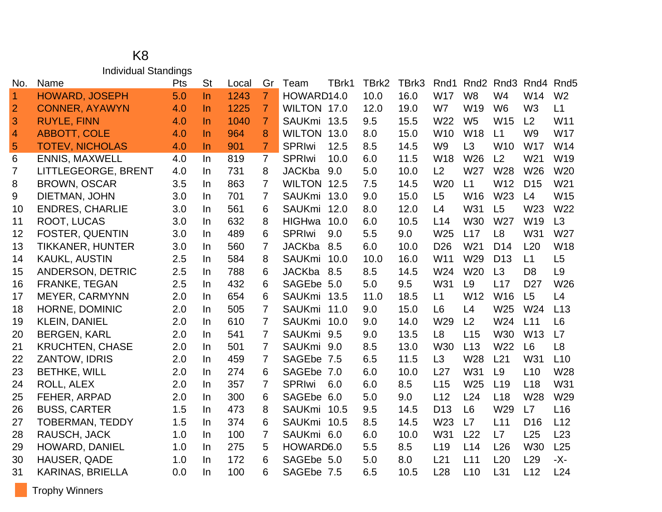## K8 Individual Standings

| No.                  | Name                    | Pts | <b>St</b> | Local | Gr             | TBrk1<br>Team         | TBrk2 | TBrk3 | Rnd1            |                 | Rnd <sub>2</sub> Rnd <sub>3</sub> | Rnd4            | Rnd <sub>5</sub> |
|----------------------|-------------------------|-----|-----------|-------|----------------|-----------------------|-------|-------|-----------------|-----------------|-----------------------------------|-----------------|------------------|
| $\blacktriangleleft$ | <b>HOWARD, JOSEPH</b>   | 5.0 | $\ln$     | 1243  | $\overline{7}$ | HOWARD14.0            | 10.0  | 16.0  | <b>W17</b>      | W <sub>8</sub>  | W <sub>4</sub>                    | W14             | W <sub>2</sub>   |
| $\overline{2}$       | <b>CONNER, AYAWYN</b>   | 4.0 | In        | 1225  | $\overline{7}$ | WILTON 17.0           | 12.0  | 19.0  | W7              | W19             | W <sub>6</sub>                    | W <sub>3</sub>  | L1               |
| 3                    | <b>RUYLE, FINN</b>      | 4.0 | $\ln$     | 1040  | $\overline{7}$ | SAUKmi<br>13.5        | 9.5   | 15.5  | W22             | W <sub>5</sub>  | W <sub>15</sub>                   | L <sub>2</sub>  | W11              |
| $\overline{4}$       | <b>ABBOTT, COLE</b>     | 4.0 | $\ln$     | 964   | 8              | <b>WILTON</b><br>13.0 | 8.0   | 15.0  | W <sub>10</sub> | W18             | L1                                | W <sub>9</sub>  | <b>W17</b>       |
| 5                    | <b>TOTEV, NICHOLAS</b>  | 4.0 | $\ln$     | 901   | $\overline{7}$ | <b>SPRIwi</b><br>12.5 | 8.5   | 14.5  | W <sub>9</sub>  | L <sub>3</sub>  | W <sub>10</sub>                   | W17             | W14              |
| 6                    | <b>ENNIS, MAXWELL</b>   | 4.0 | In        | 819   | $\overline{7}$ | <b>SPRIwi</b><br>10.0 | 6.0   | 11.5  | <b>W18</b>      | W26             | L2                                | W21             | W19              |
| 7                    | LITTLEGEORGE, BRENT     | 4.0 | In        | 731   | 8              | <b>JACKba</b><br>9.0  | 5.0   | 10.0  | L2              | W27             | W28                               | W26             | W <sub>20</sub>  |
| 8                    | <b>BROWN, OSCAR</b>     | 3.5 | In        | 863   | $\overline{7}$ | <b>WILTON</b><br>12.5 | 7.5   | 14.5  | W20             | L1              | W12                               | D <sub>15</sub> | W21              |
| 9                    | DIETMAN, JOHN           | 3.0 | In        | 701   | $\overline{7}$ | <b>SAUKmi</b><br>13.0 | 9.0   | 15.0  | L5              | W16             | W23                               | L4              | W15              |
| 10                   | <b>ENDRES, CHARLIE</b>  | 3.0 | In        | 561   | 6              | <b>SAUKmi</b><br>12.0 | 8.0   | 12.0  | L4              | W31             | L <sub>5</sub>                    | W23             | W22              |
| 11                   | ROOT, LUCAS             | 3.0 | In        | 632   | 8              | <b>HIGHwa</b><br>10.0 | 6.0   | 10.5  | L14             | W30             | W27                               | W19             | L3               |
| 12                   | <b>FOSTER, QUENTIN</b>  | 3.0 | In        | 489   | 6              | <b>SPRIwi</b><br>9.0  | 5.5   | 9.0   | W25             | L17             | L <sub>8</sub>                    | W31             | W27              |
| 13                   | <b>TIKKANER, HUNTER</b> | 3.0 | In        | 560   | $\overline{7}$ | <b>JACKba</b><br>8.5  | 6.0   | 10.0  | D <sub>26</sub> | W <sub>21</sub> | D <sub>14</sub>                   | L20             | W18              |
| 14                   | <b>KAUKL, AUSTIN</b>    | 2.5 | In        | 584   | 8              | <b>SAUKmi</b><br>10.0 | 10.0  | 16.0  | W11             | W29             | D <sub>13</sub>                   | L1              | L5               |
| 15                   | ANDERSON, DETRIC        | 2.5 | In        | 788   | 6              | <b>JACKba</b><br>8.5  | 8.5   | 14.5  | W24             | W20             | L3                                | D <sub>8</sub>  | L <sub>9</sub>   |
| 16                   | FRANKE, TEGAN           | 2.5 | In        | 432   | 6              | SAGEbe 5.0            | 5.0   | 9.5   | W31             | L <sub>9</sub>  | L17                               | D <sub>27</sub> | W26              |
| 17                   | <b>MEYER, CARMYNN</b>   | 2.0 | In        | 654   | 6              | SAUKmi 13.5           | 11.0  | 18.5  | L1              | W <sub>12</sub> | W16                               | L5              | L4               |
| 18                   | HORNE, DOMINIC          | 2.0 | In        | 505   | $\overline{7}$ | <b>SAUKmi</b><br>11.0 | 9.0   | 15.0  | L <sub>6</sub>  | L4              | W <sub>25</sub>                   | W24             | L13              |
| 19                   | <b>KLEIN, DANIEL</b>    | 2.0 | In        | 610   | $\overline{7}$ | <b>SAUKmi</b><br>10.0 | 9.0   | 14.0  | W29             | L2              | W24                               | L11             | L <sub>6</sub>   |
| 20                   | <b>BERGEN, KARL</b>     | 2.0 | In        | 541   | $\overline{7}$ | <b>SAUKmi</b><br>9.5  | 9.0   | 13.5  | L <sub>8</sub>  | L15             | <b>W30</b>                        | W <sub>13</sub> | L7               |
| 21                   | <b>KRUCHTEN, CHASE</b>  | 2.0 | In        | 501   | $\overline{7}$ | SAUKmi 9.0            | 8.5   | 13.0  | W30             | L13             | W22                               | L <sub>6</sub>  | L <sub>8</sub>   |
| 22                   | ZANTOW, IDRIS           | 2.0 | In        | 459   | $\overline{7}$ | SAGEbe 7.5            | 6.5   | 11.5  | L <sub>3</sub>  | W28             | L21                               | W31             | L10              |
| 23                   | <b>BETHKE, WILL</b>     | 2.0 | In        | 274   | 6              | SAGEbe 7.0            | 6.0   | 10.0  | L27             | W31             | L <sub>9</sub>                    | L10             | W28              |
| 24                   | ROLL, ALEX              | 2.0 | In        | 357   | $\overline{7}$ | <b>SPRIwi</b><br>6.0  | 6.0   | 8.5   | L15             | W25             | L19                               | L18             | W31              |
| 25                   | FEHER, ARPAD            | 2.0 | In        | 300   | 6              | SAGEbe 6.0            | 5.0   | 9.0   | L12             | L24             | L18                               | W28             | W29              |
| 26                   | <b>BUSS, CARTER</b>     | 1.5 | In        | 473   | 8              | SAUKmi 10.5           | 9.5   | 14.5  | D <sub>13</sub> | L <sub>6</sub>  | W29                               | L7              | L <sub>16</sub>  |
| 27                   | <b>TOBERMAN, TEDDY</b>  | 1.5 | In        | 374   | 6              | <b>SAUKmi</b><br>10.5 | 8.5   | 14.5  | W23             | L7              | L11                               | D <sub>16</sub> | L12              |
| 28                   | RAUSCH, JACK            | 1.0 | In.       | 100   | $\overline{7}$ | SAUKmi 6.0            | 6.0   | 10.0  | W31             | L22             | L7                                | L25             | L23              |
| 29                   | <b>HOWARD, DANIEL</b>   | 1.0 | In        | 275   | 5              | HOWARD6.0             | 5.5   | 8.5   | L19             | L14             | L26                               | W30             | L25              |
| 30                   | HAUSER, QADE            | 1.0 | In        | 172   | 6              | SAGEbe 5.0            | 5.0   | 8.0   | L21             | L11             | L20                               | L <sub>29</sub> | -X-              |
| 31                   | <b>KARINAS, BRIELLA</b> | 0.0 | In        | 100   | 6              | SAGEbe 7.5            | 6.5   | 10.5  | L28             | L10             | L31                               | L12             | L24              |

Trophy Winners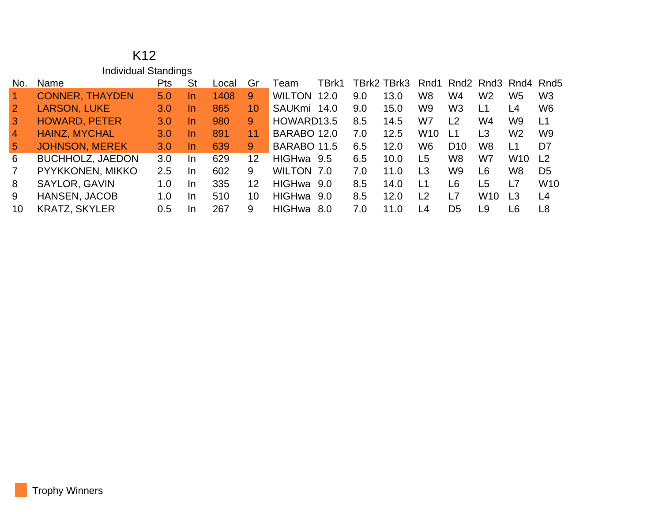|                 | K <sub>12</sub>             |     |           |       |                   |                       |     |             |                 |                 |                 |                                                                     |                 |
|-----------------|-----------------------------|-----|-----------|-------|-------------------|-----------------------|-----|-------------|-----------------|-----------------|-----------------|---------------------------------------------------------------------|-----------------|
|                 | <b>Individual Standings</b> |     |           |       |                   |                       |     |             |                 |                 |                 |                                                                     |                 |
| No.             | Name                        | Pts | <b>St</b> | Local | Gr                | TBrk1<br>Team         |     | TBrk2 TBrk3 | Rnd1            |                 |                 | Rnd <sub>2</sub> Rnd <sub>3</sub> Rnd <sub>4</sub> Rnd <sub>5</sub> |                 |
| $\vert$ 1       | <b>CONNER, THAYDEN</b>      | 5.0 | In.       | 1408  | 9                 | <b>WILTON</b><br>12.0 | 9.0 | 13.0        | W8              | W4              | W <sub>2</sub>  | W <sub>5</sub>                                                      | W <sub>3</sub>  |
| $\overline{2}$  | <b>LARSON, LUKE</b>         | 3.0 | In.       | 865   | 10                | SAUKmi 14.0           | 9.0 | 15.0        | W9              | W <sub>3</sub>  | L1              | L4                                                                  | W <sub>6</sub>  |
| $\overline{3}$  | <b>HOWARD, PETER</b>        | 3.0 | $\ln$     | 980   | 9                 | HOWARD13.5            | 8.5 | 14.5        | W7              | L2              | W4              | W9                                                                  | L1              |
| $\overline{4}$  | <b>HAINZ, MYCHAL</b>        | 3.0 | $\ln$     | 891   | 11                | BARABO 12.0           | 7.0 | 12.5        | W <sub>10</sub> | L1              | L3              | W <sub>2</sub>                                                      | W <sub>9</sub>  |
| $5\overline{)}$ | <b>JOHNSON, MEREK</b>       | 3.0 | <u>In</u> | 639   | 9                 | BARABO 11.5           | 6.5 | 12.0        | W6              | D <sub>10</sub> | W <sub>8</sub>  | L1                                                                  | D7              |
| 6               | <b>BUCHHOLZ, JAEDON</b>     | 3.0 | In.       | 629   | $12 \overline{ }$ | HIGHwa 9.5            | 6.5 | 10.0        | L <sub>5</sub>  | W <sub>8</sub>  | W7              | <b>W10</b>                                                          | L <sub>2</sub>  |
| $\overline{7}$  | PYYKKONEN, MIKKO            | 2.5 | In.       | 602   | 9                 | WILTON 7.0            | 7.0 | 11.0        | L3              | W <sub>9</sub>  | L <sub>6</sub>  | W8                                                                  | D <sub>5</sub>  |
| 8               | SAYLOR, GAVIN               | 1.0 | In        | 335   | 12                | HIGHwa 9.0            | 8.5 | 14.0        | L1              | L6              | L <sub>5</sub>  | L7                                                                  | W <sub>10</sub> |
| 9               | HANSEN, JACOB               | 1.0 | In        | 510   | 10                | HIGHwa 9.0            | 8.5 | 12.0        | L <sub>2</sub>  | L7              | W <sub>10</sub> | L3                                                                  | L4              |
| 10              | <b>KRATZ, SKYLER</b>        | 0.5 | In        | 267   | 9                 | <b>HIGHwa</b><br>8.0  | 7.0 | 11.0        | L4              | D <sub>5</sub>  | L9              | L <sub>6</sub>                                                      | L <sub>8</sub>  |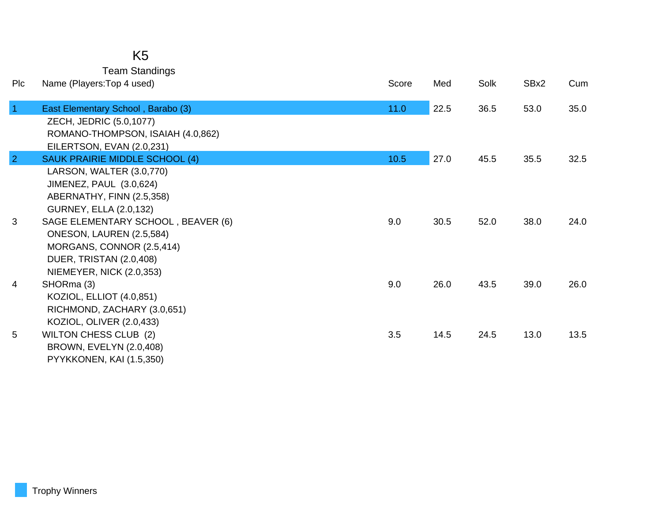| K <sub>5</sub>        |
|-----------------------|
| <b>Team Standings</b> |

| Plc            | Name (Players: Top 4 used)         | Score | Med  | Solk | SBx2 | Cum  |
|----------------|------------------------------------|-------|------|------|------|------|
| $\overline{1}$ | East Elementary School, Barabo (3) | 11.0  | 22.5 | 36.5 | 53.0 | 35.0 |
|                | ZECH, JEDRIC (5.0,1077)            |       |      |      |      |      |
|                | ROMANO-THOMPSON, ISAIAH (4.0,862)  |       |      |      |      |      |
|                | EILERTSON, EVAN (2.0,231)          |       |      |      |      |      |
| $\overline{2}$ | SAUK PRAIRIE MIDDLE SCHOOL (4)     | 10.5  | 27.0 | 45.5 | 35.5 | 32.5 |
|                | LARSON, WALTER (3.0,770)           |       |      |      |      |      |
|                | JIMENEZ, PAUL (3.0,624)            |       |      |      |      |      |
|                | ABERNATHY, FINN (2.5,358)          |       |      |      |      |      |
|                | <b>GURNEY, ELLA (2.0,132)</b>      |       |      |      |      |      |
| 3              | SAGE ELEMENTARY SCHOOL, BEAVER (6) | 9.0   | 30.5 | 52.0 | 38.0 | 24.0 |
|                | ONESON, LAUREN (2.5,584)           |       |      |      |      |      |
|                | MORGANS, CONNOR (2.5,414)          |       |      |      |      |      |
|                | DUER, TRISTAN (2.0,408)            |       |      |      |      |      |
|                | NIEMEYER, NICK (2.0,353)           |       |      |      |      |      |
| 4              | SHORma (3)                         | 9.0   | 26.0 | 43.5 | 39.0 | 26.0 |
|                | KOZIOL, ELLIOT (4.0,851)           |       |      |      |      |      |
|                | RICHMOND, ZACHARY (3.0,651)        |       |      |      |      |      |
|                | KOZIOL, OLIVER (2.0,433)           |       |      |      |      |      |
| 5              | <b>WILTON CHESS CLUB (2)</b>       | 3.5   | 14.5 | 24.5 | 13.0 | 13.5 |
|                | BROWN, EVELYN (2.0,408)            |       |      |      |      |      |
|                | PYYKKONEN, KAI (1.5,350)           |       |      |      |      |      |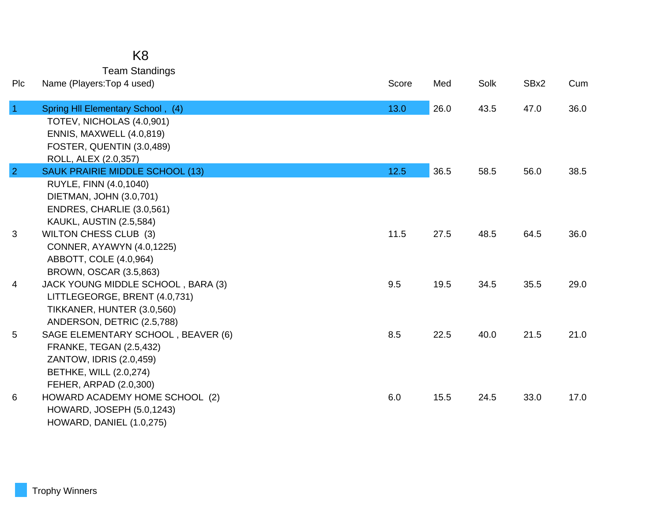|                | K <sub>8</sub>                         |       |      |      |      |      |
|----------------|----------------------------------------|-------|------|------|------|------|
|                | <b>Team Standings</b>                  |       |      |      |      |      |
| Plc            | Name (Players: Top 4 used)             | Score | Med  | Solk | SBx2 | Cum  |
| $\overline{1}$ | Spring HII Elementary School, (4)      | 13.0  | 26.0 | 43.5 | 47.0 | 36.0 |
|                | TOTEV, NICHOLAS (4.0,901)              |       |      |      |      |      |
|                | ENNIS, MAXWELL (4.0,819)               |       |      |      |      |      |
|                | FOSTER, QUENTIN (3.0,489)              |       |      |      |      |      |
|                | ROLL, ALEX (2.0,357)                   |       |      |      |      |      |
| $\overline{2}$ | <b>SAUK PRAIRIE MIDDLE SCHOOL (13)</b> | 12.5  | 36.5 | 58.5 | 56.0 | 38.5 |
|                | RUYLE, FINN (4.0,1040)                 |       |      |      |      |      |
|                | DIETMAN, JOHN (3.0,701)                |       |      |      |      |      |
|                | ENDRES, CHARLIE (3.0,561)              |       |      |      |      |      |
|                | <b>KAUKL, AUSTIN (2.5,584)</b>         |       |      |      |      |      |
| 3              | <b>WILTON CHESS CLUB (3)</b>           | 11.5  | 27.5 | 48.5 | 64.5 | 36.0 |
|                | CONNER, AYAWYN (4.0,1225)              |       |      |      |      |      |
|                | ABBOTT, COLE (4.0,964)                 |       |      |      |      |      |
|                | BROWN, OSCAR (3.5,863)                 |       |      |      |      |      |
| 4              | JACK YOUNG MIDDLE SCHOOL, BARA (3)     | 9.5   | 19.5 | 34.5 | 35.5 | 29.0 |
|                | LITTLEGEORGE, BRENT (4.0,731)          |       |      |      |      |      |
|                | TIKKANER, HUNTER (3.0,560)             |       |      |      |      |      |
|                | ANDERSON, DETRIC (2.5,788)             |       |      |      |      |      |
| 5              | SAGE ELEMENTARY SCHOOL, BEAVER (6)     | 8.5   | 22.5 | 40.0 | 21.5 | 21.0 |
|                | <b>FRANKE, TEGAN (2.5,432)</b>         |       |      |      |      |      |
|                | ZANTOW, IDRIS (2.0,459)                |       |      |      |      |      |
|                | <b>BETHKE, WILL (2.0,274)</b>          |       |      |      |      |      |
|                | FEHER, ARPAD (2.0,300)                 |       |      |      |      |      |
| 6              | HOWARD ACADEMY HOME SCHOOL (2)         | 6.0   | 15.5 | 24.5 | 33.0 | 17.0 |
|                | <b>HOWARD, JOSEPH (5.0,1243)</b>       |       |      |      |      |      |
|                | <b>HOWARD, DANIEL (1.0,275)</b>        |       |      |      |      |      |

## Trophy Winners